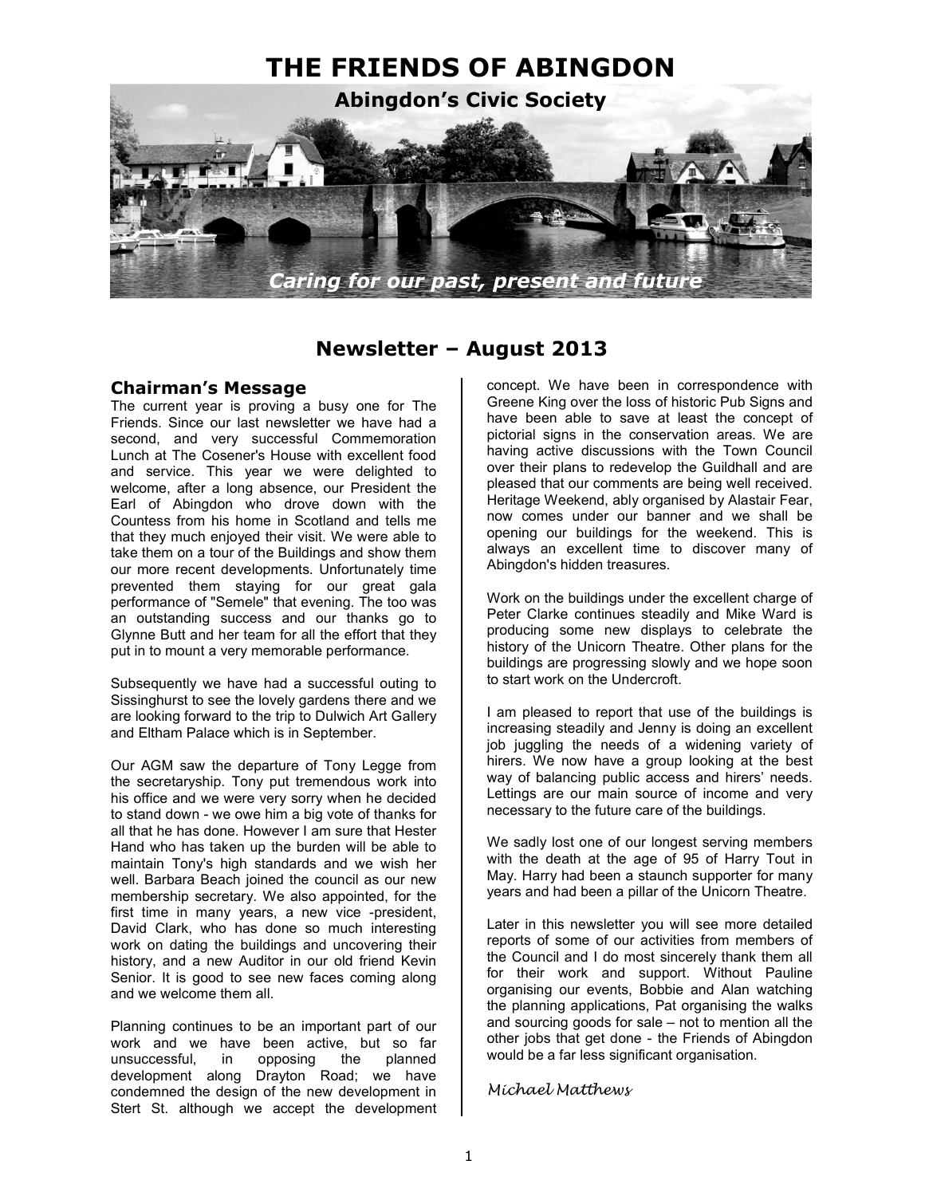

# **Newsletter – August 2013**

#### **Chairman's Message**

The current year is proving a busy one for The Friends. Since our last newsletter we have had a second, and very successful Commemoration Lunch at The Cosener's House with excellent food and service. This year we were delighted to welcome, after a long absence, our President the Earl of Abingdon who drove down with the Countess from his home in Scotland and tells me that they much enjoyed their visit. We were able to take them on a tour of the Buildings and show them our more recent developments. Unfortunately time prevented them staying for our great gala performance of "Semele" that evening. The too was an outstanding success and our thanks go to Glynne Butt and her team for all the effort that they put in to mount a very memorable performance.

Subsequently we have had a successful outing to Sissinghurst to see the lovely gardens there and we are looking forward to the trip to Dulwich Art Gallery and Eltham Palace which is in September.

Our AGM saw the departure of Tony Legge from the secretaryship. Tony put tremendous work into his office and we were very sorry when he decided to stand down - we owe him a big vote of thanks for all that he has done. However I am sure that Hester Hand who has taken up the burden will be able to maintain Tony's high standards and we wish her well. Barbara Beach joined the council as our new membership secretary. We also appointed, for the first time in many years, a new vice -president, David Clark, who has done so much interesting work on dating the buildings and uncovering their history, and a new Auditor in our old friend Kevin Senior. It is good to see new faces coming along and we welcome them all.

Planning continues to be an important part of our work and we have been active, but so far unsuccessful, in opposing the planned development along Drayton Road; we have condemned the design of the new development in Stert St. although we accept the development

concept. We have been in correspondence with Greene King over the loss of historic Pub Signs and have been able to save at least the concept of pictorial signs in the conservation areas. We are having active discussions with the Town Council over their plans to redevelop the Guildhall and are pleased that our comments are being well received. Heritage Weekend, ably organised by Alastair Fear, now comes under our banner and we shall be opening our buildings for the weekend. This is always an excellent time to discover many of Abingdon's hidden treasures.

Work on the buildings under the excellent charge of Peter Clarke continues steadily and Mike Ward is producing some new displays to celebrate the history of the Unicorn Theatre. Other plans for the buildings are progressing slowly and we hope soon to start work on the Undercroft.

I am pleased to report that use of the buildings is increasing steadily and Jenny is doing an excellent job juggling the needs of a widening variety of hirers. We now have a group looking at the best way of balancing public access and hirers' needs. Lettings are our main source of income and very necessary to the future care of the buildings.

We sadly lost one of our longest serving members with the death at the age of 95 of Harry Tout in May. Harry had been a staunch supporter for many years and had been a pillar of the Unicorn Theatre.

Later in this newsletter you will see more detailed reports of some of our activities from members of the Council and I do most sincerely thank them all for their work and support. Without Pauline organising our events, Bobbie and Alan watching the planning applications, Pat organising the walks and sourcing goods for sale – not to mention all the other jobs that get done - the Friends of Abingdon would be a far less significant organisation.

#### Michael Matthews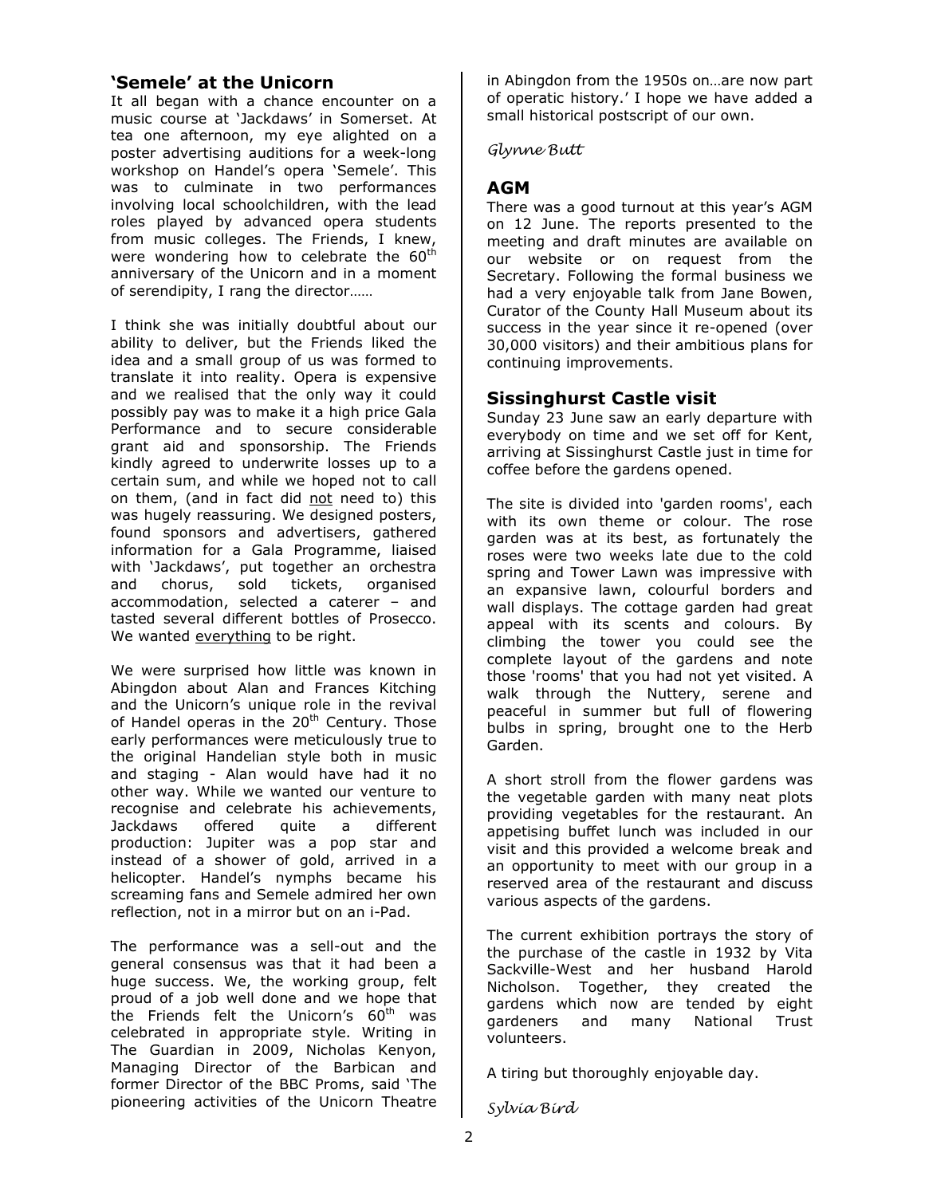## **'Semele' at the Unicorn**

It all began with a chance encounter on a music course at 'Jackdaws' in Somerset. At tea one afternoon, my eye alighted on a poster advertising auditions for a week-long workshop on Handel's opera 'Semele'. This was to culminate in two performances involving local schoolchildren, with the lead roles played by advanced opera students from music colleges. The Friends, I knew, were wondering how to celebrate the 60<sup>th</sup> anniversary of the Unicorn and in a moment of serendipity, I rang the director……

I think she was initially doubtful about our ability to deliver, but the Friends liked the idea and a small group of us was formed to translate it into reality. Opera is expensive and we realised that the only way it could possibly pay was to make it a high price Gala Performance and to secure considerable grant aid and sponsorship. The Friends kindly agreed to underwrite losses up to a certain sum, and while we hoped not to call on them, (and in fact did not need to) this was hugely reassuring. We designed posters, found sponsors and advertisers, gathered information for a Gala Programme, liaised with 'Jackdaws', put together an orchestra and chorus, sold tickets, organised accommodation, selected a caterer – and tasted several different bottles of Prosecco. We wanted everything to be right.

We were surprised how little was known in Abingdon about Alan and Frances Kitching and the Unicorn's unique role in the revival of Handel operas in the 20<sup>th</sup> Century. Those early performances were meticulously true to the original Handelian style both in music and staging - Alan would have had it no other way. While we wanted our venture to recognise and celebrate his achievements, Jackdaws offered quite a different production: Jupiter was a pop star and instead of a shower of gold, arrived in a helicopter. Handel's nymphs became his screaming fans and Semele admired her own reflection, not in a mirror but on an i-Pad.

The performance was a sell-out and the general consensus was that it had been a huge success. We, the working group, felt proud of a job well done and we hope that the Friends felt the Unicorn's  $60<sup>th</sup>$  was celebrated in appropriate style. Writing in The Guardian in 2009, Nicholas Kenyon, Managing Director of the Barbican and former Director of the BBC Proms, said 'The pioneering activities of the Unicorn Theatre

in Abingdon from the 1950s on…are now part of operatic history.' I hope we have added a small historical postscript of our own.

Glynne Butt

## **AGM**

There was a good turnout at this year's AGM on 12 June. The reports presented to the meeting and draft minutes are available on our website or on request from the Secretary. Following the formal business we had a very enjoyable talk from Jane Bowen, Curator of the County Hall Museum about its success in the year since it re-opened (over 30,000 visitors) and their ambitious plans for continuing improvements.

### **Sissinghurst Castle visit**

Sunday 23 June saw an early departure with everybody on time and we set off for Kent, arriving at Sissinghurst Castle just in time for coffee before the gardens opened.

The site is divided into 'garden rooms', each with its own theme or colour. The rose garden was at its best, as fortunately the roses were two weeks late due to the cold spring and Tower Lawn was impressive with an expansive lawn, colourful borders and wall displays. The cottage garden had great appeal with its scents and colours. By climbing the tower you could see the complete layout of the gardens and note those 'rooms' that you had not yet visited. A walk through the Nuttery, serene and peaceful in summer but full of flowering bulbs in spring, brought one to the Herb Garden.

A short stroll from the flower gardens was the vegetable garden with many neat plots providing vegetables for the restaurant. An appetising buffet lunch was included in our visit and this provided a welcome break and an opportunity to meet with our group in a reserved area of the restaurant and discuss various aspects of the gardens.

The current exhibition portrays the story of the purchase of the castle in 1932 by Vita Sackville-West and her husband Harold Nicholson. Together, they created the gardens which now are tended by eight gardeners and many National Trust volunteers.

A tiring but thoroughly enjoyable day.

Sylvia Bird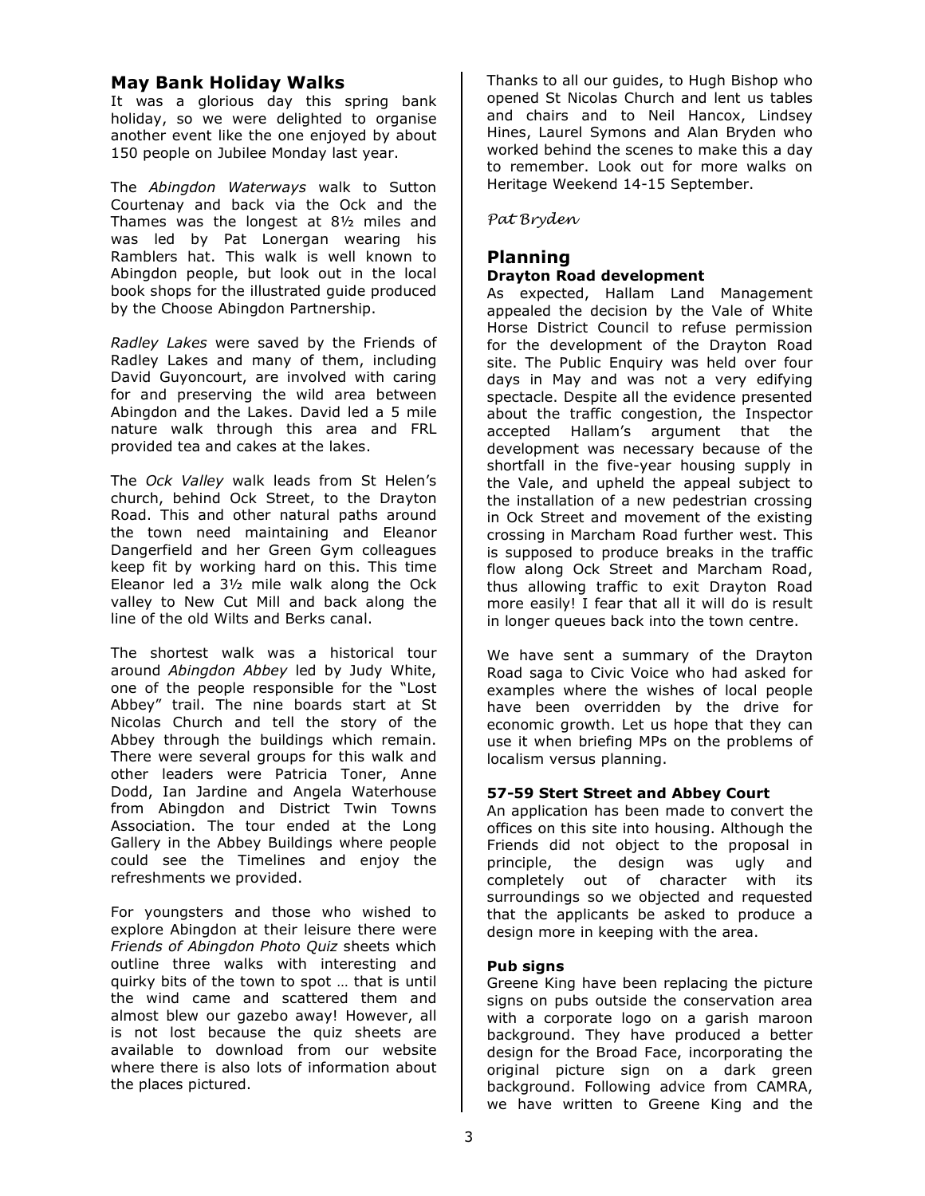## **May Bank Holiday Walks**

It was a glorious day this spring bank holiday, so we were delighted to organise another event like the one enjoyed by about 150 people on Jubilee Monday last year.

The *Abingdon Waterways* walk to Sutton Courtenay and back via the Ock and the Thames was the longest at 8½ miles and was led by Pat Lonergan wearing his Ramblers hat. This walk is well known to Abingdon people, but look out in the local book shops for the illustrated guide produced by the Choose Abingdon Partnership.

*Radley Lakes* were saved by the Friends of Radley Lakes and many of them, including David Guyoncourt, are involved with caring for and preserving the wild area between Abingdon and the Lakes. David led a 5 mile nature walk through this area and FRL provided tea and cakes at the lakes.

The *Ock Valley* walk leads from St Helen's church, behind Ock Street, to the Drayton Road. This and other natural paths around the town need maintaining and Eleanor Dangerfield and her Green Gym colleagues keep fit by working hard on this. This time Eleanor led a 3½ mile walk along the Ock valley to New Cut Mill and back along the line of the old Wilts and Berks canal.

The shortest walk was a historical tour around *Abingdon Abbey* led by Judy White, one of the people responsible for the "Lost Abbey" trail. The nine boards start at St Nicolas Church and tell the story of the Abbey through the buildings which remain. There were several groups for this walk and other leaders were Patricia Toner, Anne Dodd, Ian Jardine and Angela Waterhouse from Abingdon and District Twin Towns Association. The tour ended at the Long Gallery in the Abbey Buildings where people could see the Timelines and enjoy the refreshments we provided.

For youngsters and those who wished to explore Abingdon at their leisure there were *Friends of Abingdon Photo Quiz* sheets which outline three walks with interesting and quirky bits of the town to spot … that is until the wind came and scattered them and almost blew our gazebo away! However, all is not lost because the quiz sheets are available to download from our website where there is also lots of information about the places pictured.

Thanks to all our guides, to Hugh Bishop who opened St Nicolas Church and lent us tables and chairs and to Neil Hancox, Lindsey Hines, Laurel Symons and Alan Bryden who worked behind the scenes to make this a day to remember. Look out for more walks on Heritage Weekend 14-15 September.

#### Pat Bryden

### **Planning Drayton Road development**

As expected, Hallam Land Management appealed the decision by the Vale of White Horse District Council to refuse permission for the development of the Drayton Road site. The Public Enquiry was held over four days in May and was not a very edifying spectacle. Despite all the evidence presented about the traffic congestion, the Inspector accepted Hallam's argument that the development was necessary because of the shortfall in the five-year housing supply in the Vale, and upheld the appeal subject to the installation of a new pedestrian crossing in Ock Street and movement of the existing crossing in Marcham Road further west. This is supposed to produce breaks in the traffic flow along Ock Street and Marcham Road, thus allowing traffic to exit Drayton Road more easily! I fear that all it will do is result in longer queues back into the town centre.

We have sent a summary of the Drayton Road saga to Civic Voice who had asked for examples where the wishes of local people have been overridden by the drive for economic growth. Let us hope that they can use it when briefing MPs on the problems of localism versus planning.

#### **57-59 Stert Street and Abbey Court**

An application has been made to convert the offices on this site into housing. Although the Friends did not object to the proposal in principle, the design was ugly and completely out of character with its surroundings so we objected and requested that the applicants be asked to produce a design more in keeping with the area.

#### **Pub signs**

Greene King have been replacing the picture signs on pubs outside the conservation area with a corporate logo on a garish maroon background. They have produced a better design for the Broad Face, incorporating the original picture sign on a dark green background. Following advice from CAMRA, we have written to Greene King and the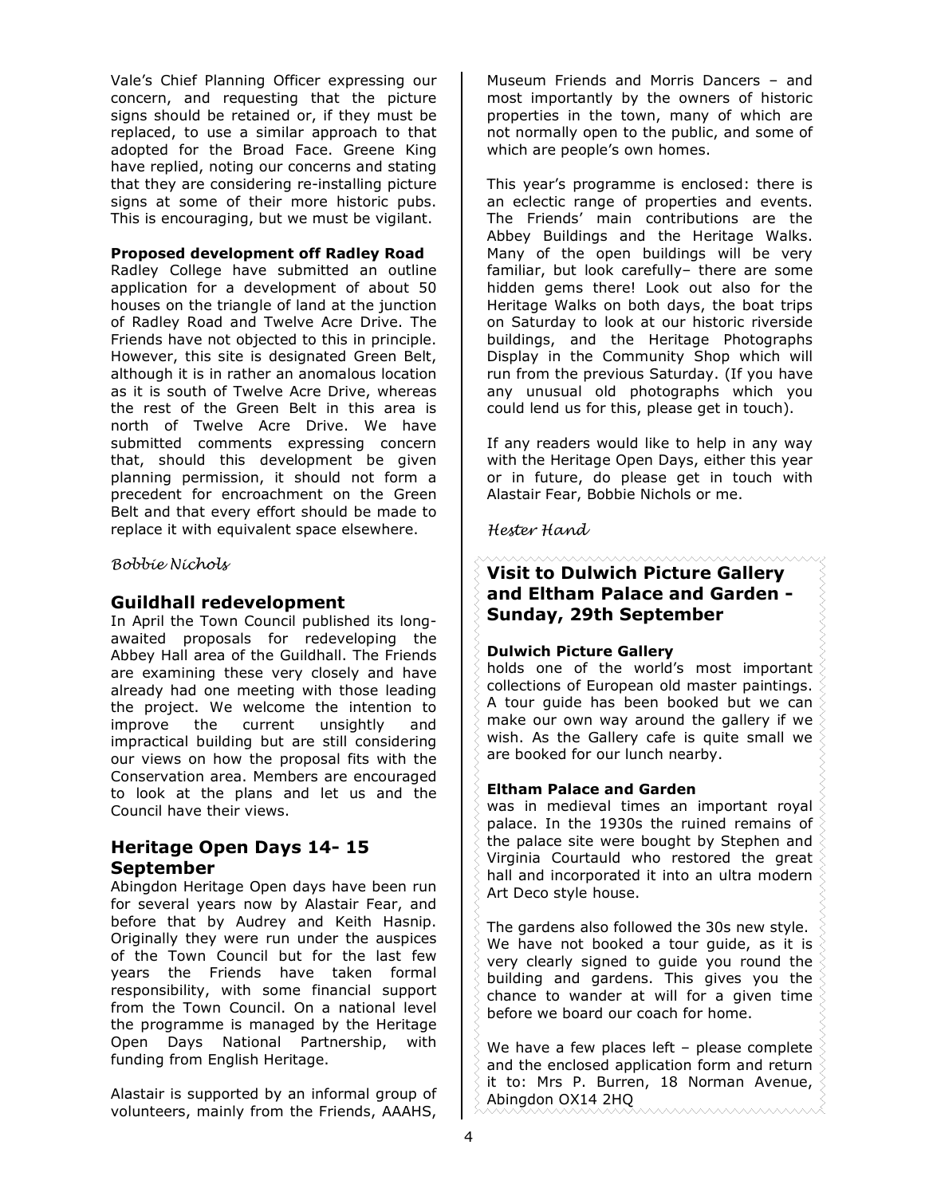Vale's Chief Planning Officer expressing our concern, and requesting that the picture signs should be retained or, if they must be replaced, to use a similar approach to that adopted for the Broad Face. Greene King have replied, noting our concerns and stating that they are considering re-installing picture signs at some of their more historic pubs. This is encouraging, but we must be vigilant.

#### **Proposed development off Radley Road**

Radley College have submitted an outline application for a development of about 50 houses on the triangle of land at the junction of Radley Road and Twelve Acre Drive. The Friends have not objected to this in principle. However, this site is designated Green Belt, although it is in rather an anomalous location as it is south of Twelve Acre Drive, whereas the rest of the Green Belt in this area is north of Twelve Acre Drive. We have submitted comments expressing concern that, should this development be given planning permission, it should not form a precedent for encroachment on the Green Belt and that every effort should be made to replace it with equivalent space elsewhere.

Bobbie Nichols

#### **Guildhall redevelopment**

In April the Town Council published its longawaited proposals for redeveloping the Abbey Hall area of the Guildhall. The Friends are examining these very closely and have already had one meeting with those leading the project. We welcome the intention to improve the current unsightly and impractical building but are still considering our views on how the proposal fits with the Conservation area. Members are encouraged to look at the plans and let us and the Council have their views.

## **Heritage Open Days 14- 15 September**

Abingdon Heritage Open days have been run for several years now by Alastair Fear, and before that by Audrey and Keith Hasnip. Originally they were run under the auspices of the Town Council but for the last few years the Friends have taken formal responsibility, with some financial support from the Town Council. On a national level the programme is managed by the Heritage Open Days National Partnership, with funding from English Heritage.

Alastair is supported by an informal group of volunteers, mainly from the Friends, AAAHS,

Museum Friends and Morris Dancers – and most importantly by the owners of historic properties in the town, many of which are not normally open to the public, and some of which are people's own homes.

This year's programme is enclosed: there is an eclectic range of properties and events. The Friends' main contributions are the Abbey Buildings and the Heritage Walks. Many of the open buildings will be very familiar, but look carefully– there are some hidden gems there! Look out also for the Heritage Walks on both days, the boat trips on Saturday to look at our historic riverside buildings, and the Heritage Photographs Display in the Community Shop which will run from the previous Saturday. (If you have any unusual old photographs which you could lend us for this, please get in touch).

If any readers would like to help in any way with the Heritage Open Days, either this year or in future, do please get in touch with Alastair Fear, Bobbie Nichols or me.

Hester Hand

## **Visit to Dulwich Picture Gallery and Eltham Palace and Garden - Sunday, 29th September**

#### **Dulwich Picture Gallery**

holds one of the world's most important collections of European old master paintings. A tour guide has been booked but we can make our own way around the gallery if we wish. As the Gallery cafe is quite small we are booked for our lunch nearby.

#### **Eltham Palace and Garden**

was in medieval times an important royal palace. In the 1930s the ruined remains of the palace site were bought by Stephen and Virginia Courtauld who restored the great hall and incorporated it into an ultra modern Art Deco style house.

The gardens also followed the 30s new style. We have not booked a tour guide, as it is very clearly signed to guide you round the building and gardens. This gives you the chance to wander at will for a given time before we board our coach for home.

We have a few places left – please complete and the enclosed application form and return it to: Mrs P. Burren, 18 Norman Avenue, Abingdon OX14 2HQ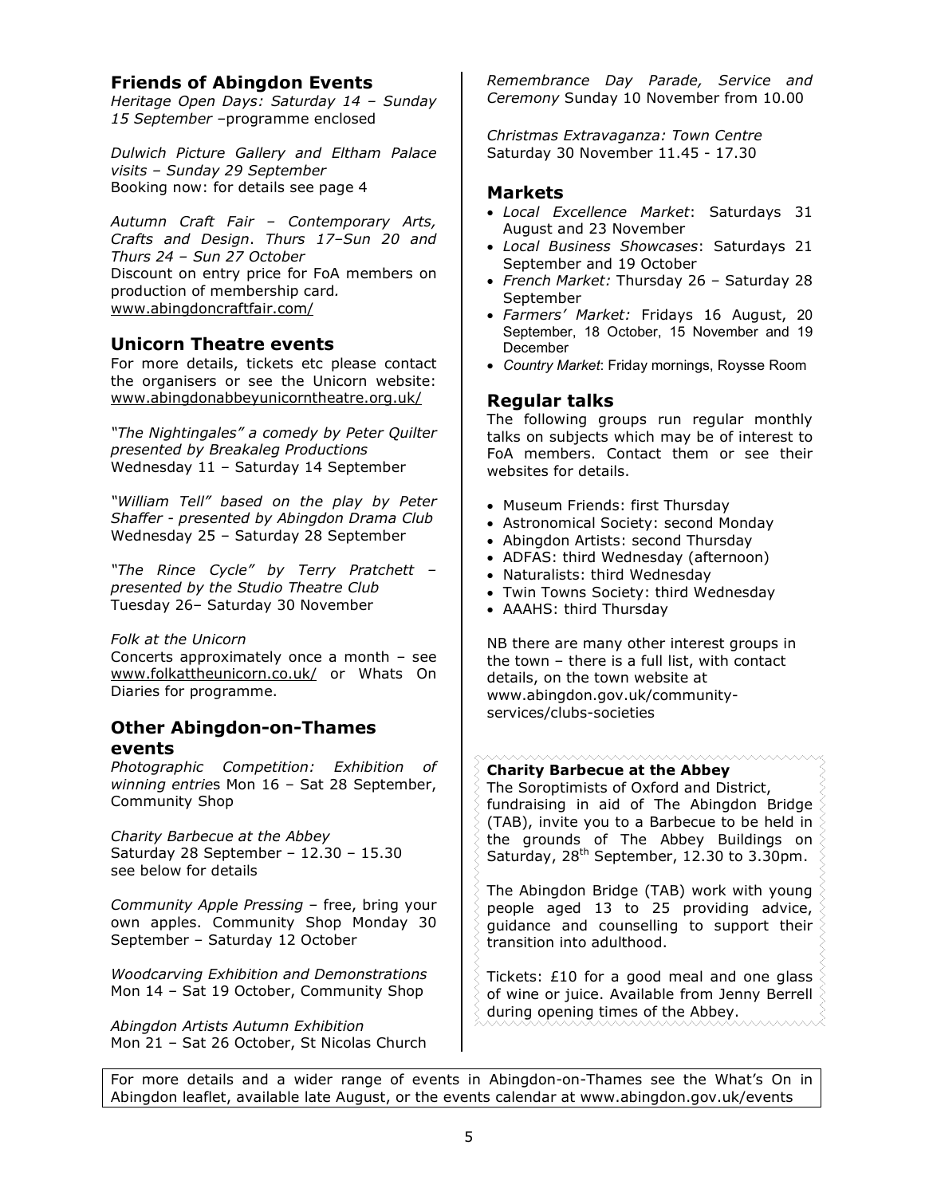## **Friends of Abingdon Events**

*Heritage Open Days: Saturday 14 – Sunday 15 September –*programme enclosed

*Dulwich Picture Gallery and Eltham Palace visits – Sunday 29 September*  Booking now: for details see page 4

*Autumn Craft Fair – Contemporary Arts, Crafts and Design*. *Thurs 17–Sun 20 and Thurs 24 – Sun 27 October*  Discount on entry price for FoA members on production of membership card*.* www.abingdoncraftfair.com/

### **Unicorn Theatre events**

For more details, tickets etc please contact the organisers or see the Unicorn website: www.abingdonabbeyunicorntheatre.org.uk/

*"The Nightingales" a comedy by Peter Quilter presented by Breakaleg Productions*  Wednesday 11 – Saturday 14 September

*"William Tell" based on the play by Peter Shaffer - presented by Abingdon Drama Club*  Wednesday 25 – Saturday 28 September

*"The Rince Cycle" by Terry Pratchett – presented by the Studio Theatre Club*  Tuesday 26– Saturday 30 November

#### *Folk at the Unicorn*

Concerts approximately once a month – see www.folkattheunicorn.co.uk/ or Whats On Diaries for programme.

### **Other Abingdon-on-Thames events**

*Photographic Competition: Exhibition of winning entrie*s Mon 16 – Sat 28 September, Community Shop

*Charity Barbecue at the Abbey*  Saturday 28 September – 12.30 – 15.30 see below for details

*Community Apple Pressing* – free, bring your own apples. Community Shop Monday 30 September – Saturday 12 October

*Woodcarving Exhibition and Demonstrations*  Mon 14 – Sat 19 October, Community Shop

*Abingdon Artists Autumn Exhibition*  Mon 21 – Sat 26 October, St Nicolas Church *Remembrance Day Parade, Service and Ceremony* Sunday 10 November from 10.00

*Christmas Extravaganza: Town Centre*  Saturday 30 November 11.45 - 17.30

## **Markets**

- *Local Excellence Market*: Saturdays 31 August and 23 November
- *Local Business Showcases*: Saturdays 21 September and 19 October
- *French Market:* Thursday 26 Saturday 28 September
- *Farmers' Market:* Fridays 16 August, 20 September, 18 October, 15 November and 19 December
- *Country Market*: Friday mornings, Roysse Room

### **Regular talks**

The following groups run regular monthly talks on subjects which may be of interest to FoA members. Contact them or see their websites for details.

- Museum Friends: first Thursday
- Astronomical Society: second Monday
- Abingdon Artists: second Thursday
- ADFAS: third Wednesday (afternoon)
- Naturalists: third Wednesday
- Twin Towns Society: third Wednesday
- AAAHS: third Thursday

NB there are many other interest groups in the town – there is a full list, with contact details, on the town website at www.abingdon.gov.uk/communityservices/clubs-societies

#### **Charity Barbecue at the Abbey**

The Soroptimists of Oxford and District, fundraising in aid of The Abingdon Bridge (TAB), invite you to a Barbecue to be held in the grounds of The Abbey Buildings on Saturday, 28<sup>th</sup> September, 12.30 to 3.30pm.

The Abingdon Bridge (TAB) work with young people aged 13 to 25 providing advice, guidance and counselling to support their transition into adulthood.

Tickets: £10 for a good meal and one glass of wine or juice. Available from Jenny Berrell during opening times of the Abbey.

For more details and a wider range of events in Abingdon-on-Thames see the What's On in Abingdon leaflet, available late August, or the events calendar at www.abingdon.gov.uk/events